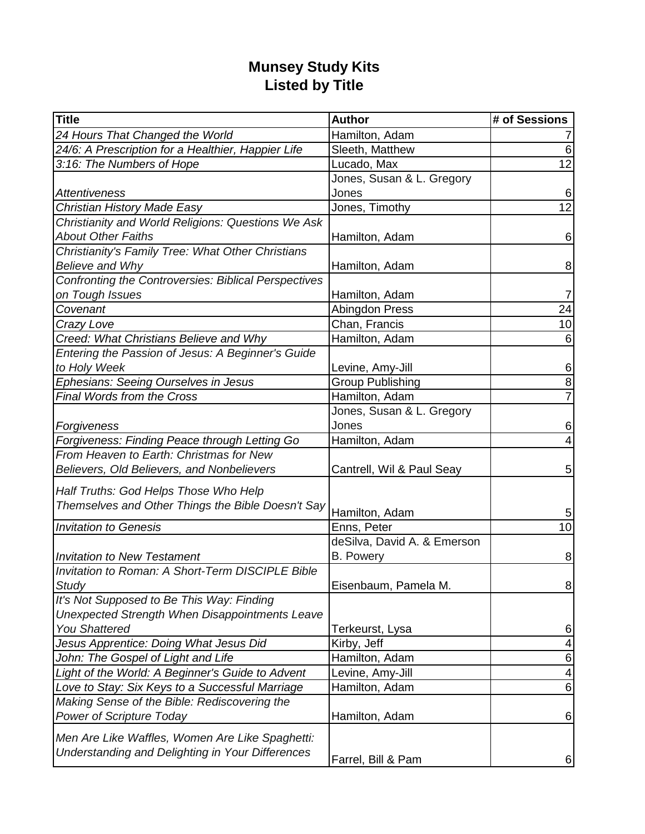## **Munsey Study Kits Listed by Title**

| <b>Title</b>                                                | <b>Author</b>               | # of Sessions           |
|-------------------------------------------------------------|-----------------------------|-------------------------|
| 24 Hours That Changed the World                             | Hamilton, Adam              |                         |
| 24/6: A Prescription for a Healthier, Happier Life          | Sleeth, Matthew             | 6                       |
| 3:16: The Numbers of Hope                                   | Lucado, Max                 | 12                      |
|                                                             | Jones, Susan & L. Gregory   |                         |
| <b>Attentiveness</b>                                        | Jones                       | 6                       |
| Christian History Made Easy                                 | Jones, Timothy              | $\overline{12}$         |
| Christianity and World Religions: Questions We Ask          |                             |                         |
| <b>About Other Faiths</b>                                   | Hamilton, Adam              | 6                       |
| Christianity's Family Tree: What Other Christians           |                             |                         |
| Believe and Why                                             | Hamilton, Adam              | 8 <sup>°</sup>          |
| <b>Confronting the Controversies: Biblical Perspectives</b> |                             |                         |
| on Tough Issues                                             | Hamilton, Adam              | 7                       |
| Covenant                                                    | Abingdon Press              | 24                      |
| Crazy Love                                                  | Chan, Francis               | 10                      |
| Creed: What Christians Believe and Why                      | Hamilton, Adam              | 6                       |
| Entering the Passion of Jesus: A Beginner's Guide           |                             |                         |
| to Holy Week                                                | Levine, Amy-Jill            | 6                       |
| Ephesians: Seeing Ourselves in Jesus                        | <b>Group Publishing</b>     | 8                       |
| <b>Final Words from the Cross</b>                           | Hamilton, Adam              | $\overline{7}$          |
|                                                             | Jones, Susan & L. Gregory   |                         |
| Forgiveness                                                 | Jones                       | $6 \mid$                |
| Forgiveness: Finding Peace through Letting Go               | Hamilton, Adam              |                         |
| From Heaven to Earth: Christmas for New                     |                             |                         |
| Believers, Old Believers, and Nonbelievers                  | Cantrell, Wil & Paul Seay   | 5 <sup>1</sup>          |
| Half Truths: God Helps Those Who Help                       |                             |                         |
| Themselves and Other Things the Bible Doesn't Say           |                             |                         |
|                                                             | Hamilton, Adam              | 5 <sub>5</sub>          |
| <b>Invitation to Genesis</b>                                | Enns, Peter                 | $\overline{10}$         |
|                                                             | deSilva, David A. & Emerson |                         |
| <b>Invitation to New Testament</b>                          | <b>B.</b> Powery            | 8                       |
| Invitation to Roman: A Short-Term DISCIPLE Bible            |                             |                         |
| Study                                                       | Eisenbaum, Pamela M.        | 8 <sup>2</sup>          |
| It's Not Supposed to Be This Way: Finding                   |                             |                         |
| Unexpected Strength When Disappointments Leave              |                             |                         |
| <b>You Shattered</b>                                        | Terkeurst, Lysa             | $6 \mid$                |
| Jesus Apprentice: Doing What Jesus Did                      | Kirby, Jeff                 | $\vert 4 \vert$         |
| John: The Gospel of Light and Life                          | Hamilton, Adam              | $6 \mid$                |
| Light of the World: A Beginner's Guide to Advent            | Levine, Amy-Jill            | $\overline{\mathbf{4}}$ |
| Love to Stay: Six Keys to a Successful Marriage             | Hamilton, Adam              | $\,6$                   |
| Making Sense of the Bible: Rediscovering the                |                             |                         |
| <b>Power of Scripture Today</b>                             | Hamilton, Adam              | $6 \mid$                |
| Men Are Like Waffles, Women Are Like Spaghetti:             |                             |                         |
| Understanding and Delighting in Your Differences            |                             |                         |
|                                                             | Farrel, Bill & Pam          | $6 \mid$                |